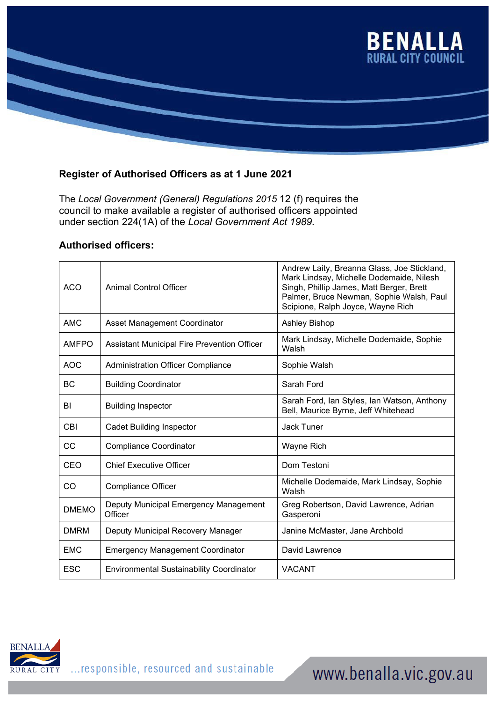

## **Register of Authorised Officers as at 1 June 2021**

The *Local Government (General) Regulations 2015* 12 (f) requires the council to make available a register of authorised officers appointed under section 224(1A) of the *Local Government Act 1989.*

## **Authorised officers:**

| <b>ACO</b>   | <b>Animal Control Officer</b>                      | Andrew Laity, Breanna Glass, Joe Stickland,<br>Mark Lindsay, Michelle Dodemaide, Nilesh<br>Singh, Phillip James, Matt Berger, Brett<br>Palmer, Bruce Newman, Sophie Walsh, Paul<br>Scipione, Ralph Joyce, Wayne Rich |
|--------------|----------------------------------------------------|----------------------------------------------------------------------------------------------------------------------------------------------------------------------------------------------------------------------|
| <b>AMC</b>   | Asset Management Coordinator                       | <b>Ashley Bishop</b>                                                                                                                                                                                                 |
| <b>AMFPO</b> | <b>Assistant Municipal Fire Prevention Officer</b> | Mark Lindsay, Michelle Dodemaide, Sophie<br>Walsh                                                                                                                                                                    |
| <b>AOC</b>   | <b>Administration Officer Compliance</b>           | Sophie Walsh                                                                                                                                                                                                         |
| <b>BC</b>    | <b>Building Coordinator</b>                        | Sarah Ford                                                                                                                                                                                                           |
| BI           | <b>Building Inspector</b>                          | Sarah Ford, Ian Styles, Ian Watson, Anthony<br>Bell, Maurice Byrne, Jeff Whitehead                                                                                                                                   |
| CBI          | <b>Cadet Building Inspector</b>                    | <b>Jack Tuner</b>                                                                                                                                                                                                    |
| <b>CC</b>    | <b>Compliance Coordinator</b>                      | Wayne Rich                                                                                                                                                                                                           |
| CEO          | <b>Chief Executive Officer</b>                     | Dom Testoni                                                                                                                                                                                                          |
| CO           | <b>Compliance Officer</b>                          | Michelle Dodemaide, Mark Lindsay, Sophie<br>Walsh                                                                                                                                                                    |
| <b>DMEMO</b> | Deputy Municipal Emergency Management<br>Officer   | Greg Robertson, David Lawrence, Adrian<br>Gasperoni                                                                                                                                                                  |
| <b>DMRM</b>  | Deputy Municipal Recovery Manager                  | Janine McMaster, Jane Archbold                                                                                                                                                                                       |
| <b>EMC</b>   | <b>Emergency Management Coordinator</b>            | David Lawrence                                                                                                                                                                                                       |
| <b>ESC</b>   | <b>Environmental Sustainability Coordinator</b>    | <b>VACANT</b>                                                                                                                                                                                                        |



## www.benalla.vic.gov.au